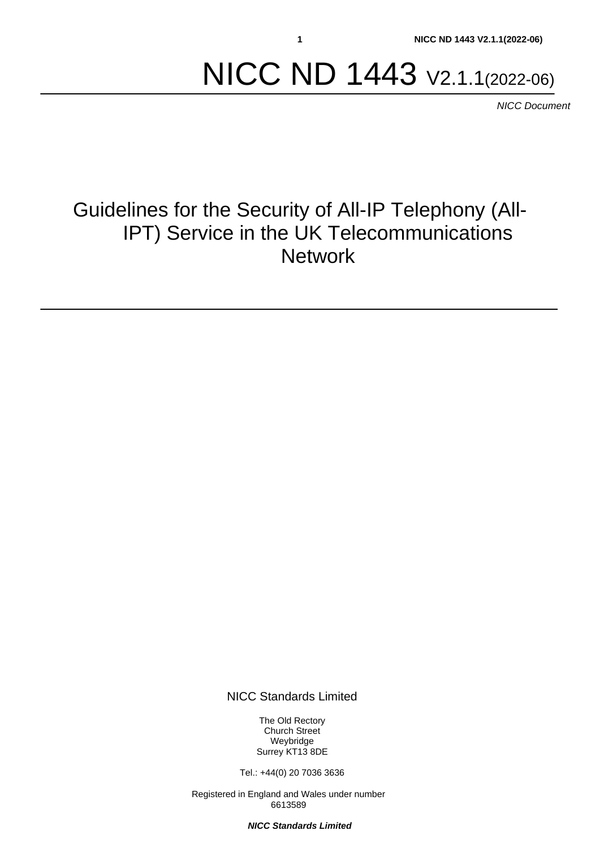# NICC ND 1443 V2.1.1(2022-06)

*NICC Document*

# Guidelines for the Security of All-IP Telephony (All-IPT) Service in the UK Telecommunications **Network**

NICC Standards Limited

The Old Rectory Church Street Weybridge Surrey KT13 8DE

Tel.: +44(0) 20 7036 3636

Registered in England and Wales under number 6613589

*NICC Standards Limited*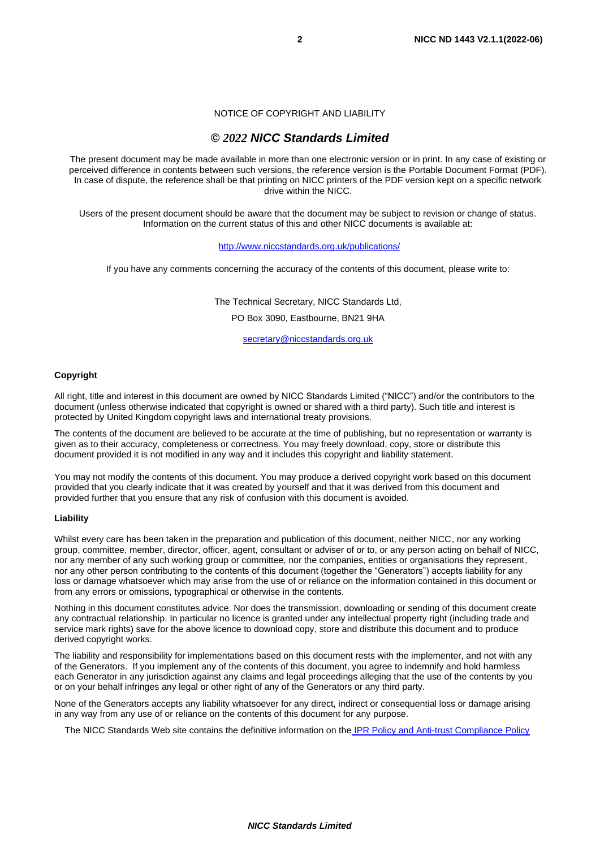NOTICE OF COPYRIGHT AND LIABILITY

#### *© 2022 NICC Standards Limited*

The present document may be made available in more than one electronic version or in print. In any case of existing or perceived difference in contents between such versions, the reference version is the Portable Document Format (PDF). In case of dispute, the reference shall be that printing on NICC printers of the PDF version kept on a specific network drive within the NICC.

Users of the present document should be aware that the document may be subject to revision or change of status. Information on the current status of this and other NICC documents is available at:

#### <http://www.niccstandards.org.uk/publications/>

If you have any comments concerning the accuracy of the contents of this document, please write to:

The Technical Secretary, NICC Standards Ltd,

PO Box 3090, Eastbourne, BN21 9HA

[secretary@niccstandards.org.uk](mailto:secretary@niccstandards.org.uk)

#### **Copyright**

All right, title and interest in this document are owned by NICC Standards Limited ("NICC") and/or the contributors to the document (unless otherwise indicated that copyright is owned or shared with a third party). Such title and interest is protected by United Kingdom copyright laws and international treaty provisions.

The contents of the document are believed to be accurate at the time of publishing, but no representation or warranty is given as to their accuracy, completeness or correctness. You may freely download, copy, store or distribute this document provided it is not modified in any way and it includes this copyright and liability statement.

You may not modify the contents of this document. You may produce a derived copyright work based on this document provided that you clearly indicate that it was created by yourself and that it was derived from this document and provided further that you ensure that any risk of confusion with this document is avoided.

#### **Liability**

Whilst every care has been taken in the preparation and publication of this document, neither NICC, nor any working group, committee, member, director, officer, agent, consultant or adviser of or to, or any person acting on behalf of NICC, nor any member of any such working group or committee, nor the companies, entities or organisations they represent, nor any other person contributing to the contents of this document (together the "Generators") accepts liability for any loss or damage whatsoever which may arise from the use of or reliance on the information contained in this document or from any errors or omissions, typographical or otherwise in the contents.

Nothing in this document constitutes advice. Nor does the transmission, downloading or sending of this document create any contractual relationship. In particular no licence is granted under any intellectual property right (including trade and service mark rights) save for the above licence to download copy, store and distribute this document and to produce derived copyright works.

The liability and responsibility for implementations based on this document rests with the implementer, and not with any of the Generators. If you implement any of the contents of this document, you agree to indemnify and hold harmless each Generator in any jurisdiction against any claims and legal proceedings alleging that the use of the contents by you or on your behalf infringes any legal or other right of any of the Generators or any third party.

None of the Generators accepts any liability whatsoever for any direct, indirect or consequential loss or damage arising in any way from any use of or reliance on the contents of this document for any purpose.

The NICC Standards Web site contains the definitive information on the **[IPR Policy and Anti-trust Compliance Policy](http://www.niccstandards.org.uk/governance/index.cfm)**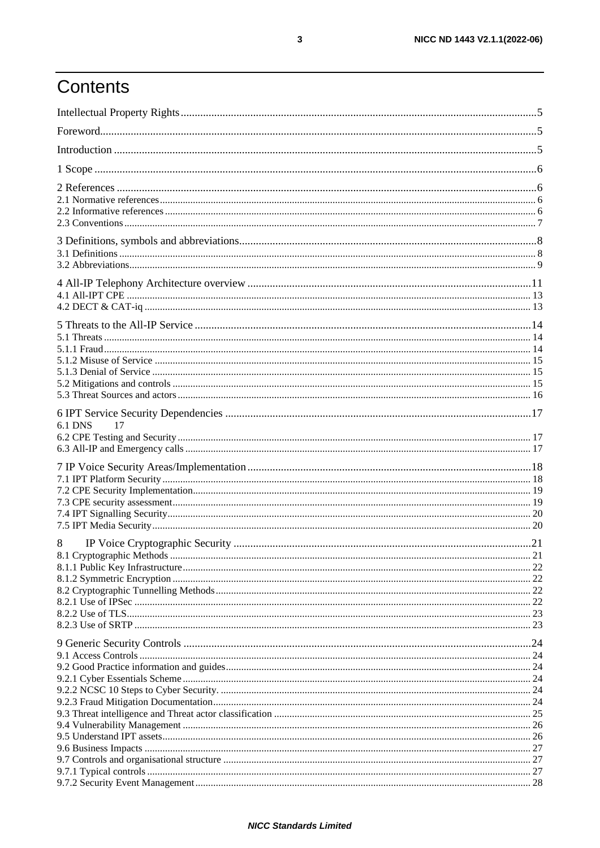# Contents

| <b>6.1 DNS</b><br>17 |      |
|----------------------|------|
|                      |      |
|                      |      |
|                      |      |
|                      |      |
|                      |      |
|                      |      |
|                      |      |
|                      |      |
| 8                    | . 21 |
|                      |      |
|                      |      |
|                      |      |
|                      |      |
|                      |      |
|                      |      |
|                      |      |
|                      |      |
|                      |      |
|                      |      |
|                      |      |
|                      |      |
|                      |      |
|                      |      |
|                      |      |
|                      |      |
|                      |      |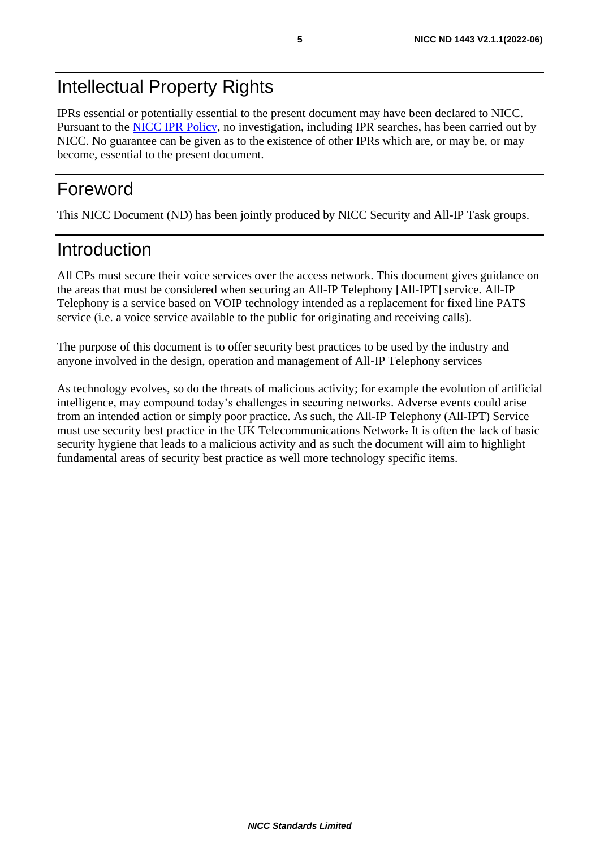# Intellectual Property Rights

IPRs essential or potentially essential to the present document may have been declared to NICC. Pursuant to the [NICC IPR Policy,](http://www.niccstandards.org.uk/NICC%20IPR.pdf) no investigation, including IPR searches, has been carried out by NICC. No guarantee can be given as to the existence of other IPRs which are, or may be, or may become, essential to the present document.

# Foreword

This NICC Document (ND) has been jointly produced by NICC Security and All-IP Task groups.

### Introduction

All CPs must secure their voice services over the access network. This document gives guidance on the areas that must be considered when securing an All-IP Telephony [All-IPT] service. All-IP Telephony is a service based on VOIP technology intended as a replacement for fixed line PATS service (i.e. a voice service available to the public for originating and receiving calls).

The purpose of this document is to offer security best practices to be used by the industry and anyone involved in the design, operation and management of All-IP Telephony services

As technology evolves, so do the threats of malicious activity; for example the evolution of artificial intelligence, may compound today's challenges in securing networks. Adverse events could arise from an intended action or simply poor practice. As such, the All-IP Telephony (All-IPT) Service must use security best practice in the UK Telecommunications Network. It is often the lack of basic security hygiene that leads to a malicious activity and as such the document will aim to highlight fundamental areas of security best practice as well more technology specific items.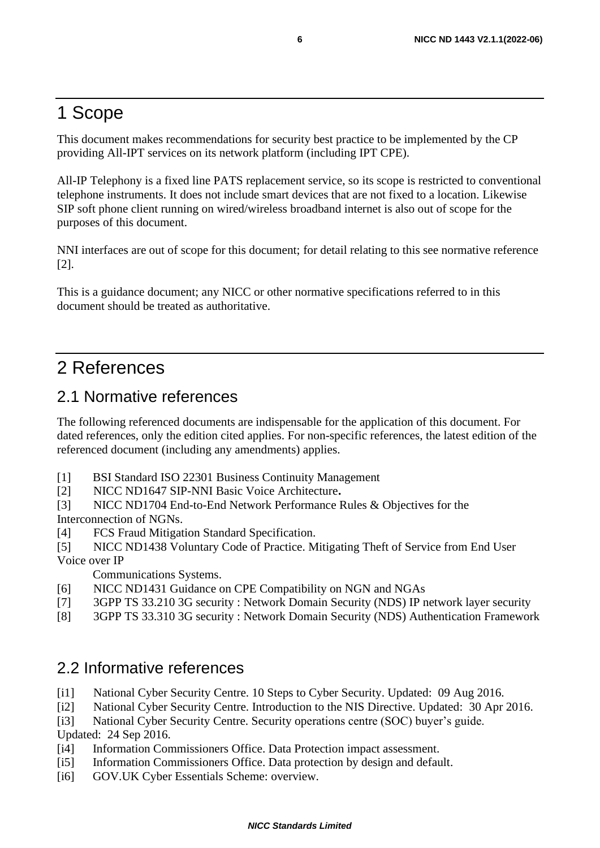# 1 Scope

This document makes recommendations for security best practice to be implemented by the CP providing All-IPT services on its network platform (including IPT CPE).

All-IP Telephony is a fixed line PATS replacement service, so its scope is restricted to conventional telephone instruments. It does not include smart devices that are not fixed to a location. Likewise SIP soft phone client running on wired/wireless broadband internet is also out of scope for the purposes of this document.

NNI interfaces are out of scope for this document; for detail relating to this see normative reference [\[2\].](#page-5-0)

This is a guidance document; any NICC or other normative specifications referred to in this document should be treated as authoritative.

# 2 References

#### <span id="page-5-0"></span>2.1 Normative references

The following referenced documents are indispensable for the application of this document. For dated references, only the edition cited applies. For non-specific references, the latest edition of the referenced document (including any amendments) applies.

- [1] BSI Standard ISO 22301 Business Continuity Management
- [2] NICC ND1647 SIP-NNI Basic Voice Architecture**.**
- [3] NICC ND1704 End-to-End Network Performance Rules & Objectives for the Interconnection of NGNs.
- [4] FCS Fraud Mitigation Standard Specification.
- [5] NICC ND1438 Voluntary Code of Practice. Mitigating Theft of Service from End User Voice over IP

Communications Systems.

- [6] NICC ND1431 Guidance on CPE Compatibility on NGN and NGAs
- [7] 3GPP TS 33.210 3G security : Network Domain Security (NDS) IP network layer security
- [8] 3GPP TS 33.310 3G security : Network Domain Security (NDS) Authentication Framework

#### <span id="page-5-1"></span>2.2 Informative references

- [i1] National Cyber Security Centre. 10 Steps to Cyber Security. Updated: 09 Aug 2016.
- [i2] National Cyber Security Centre. Introduction to the NIS Directive. Updated: 30 Apr 2016.
- [i3] National Cyber Security Centre. Security operations centre (SOC) buyer's guide.

Updated: 24 Sep 2016.

- [i4] Information Commissioners Office. Data Protection impact assessment.
- [i5] Information Commissioners Office. Data protection by design and default.
- [i6] GOV.UK Cyber Essentials Scheme: overview.

#### *NICC Standards Limited*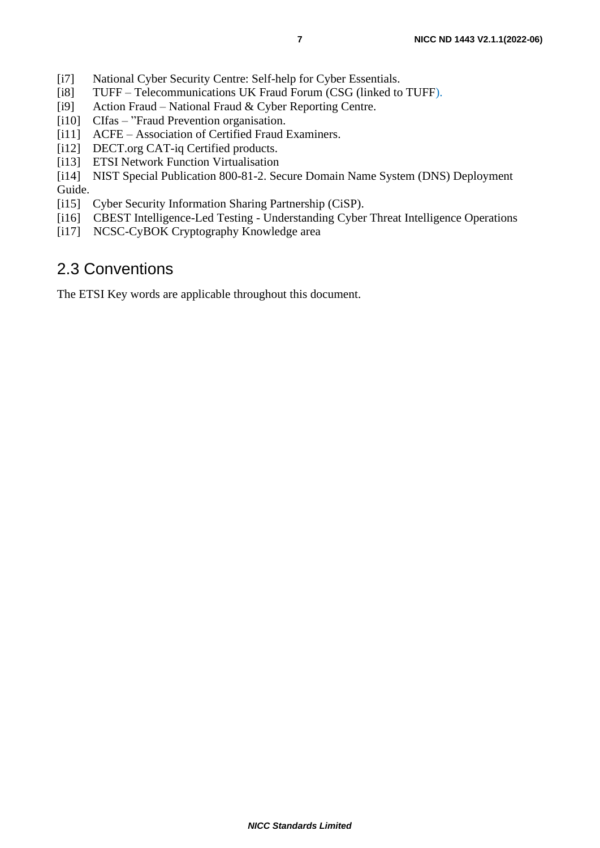- [i7] National Cyber Security Centre: Self-help for Cyber Essentials.
- [i8] TUFF Telecommunications UK Fraud Forum (CSG (linked to TUFF).<br>[i9] Action Fraud National Fraud & Cyber Reporting Centre.
- Action Fraud National Fraud & Cyber Reporting Centre.
- [i10] CIfas "Fraud Prevention organisation.
- [i11] ACFE Association of Certified Fraud Examiners.
- [i12] DECT.org CAT-iq Certified products.
- [i13] ETSI Network Function Virtualisation
- [i14] NIST Special Publication 800-81-2. Secure Domain Name System (DNS) Deployment Guide.
- [i15] Cyber Security Information Sharing Partnership (CiSP).
- [i16] CBEST Intelligence-Led Testing Understanding Cyber Threat Intelligence Operations
- [i17] NCSC-CyBOK Cryptography Knowledge area

### 2.3 Conventions

The ETSI Key words are applicable throughout this document.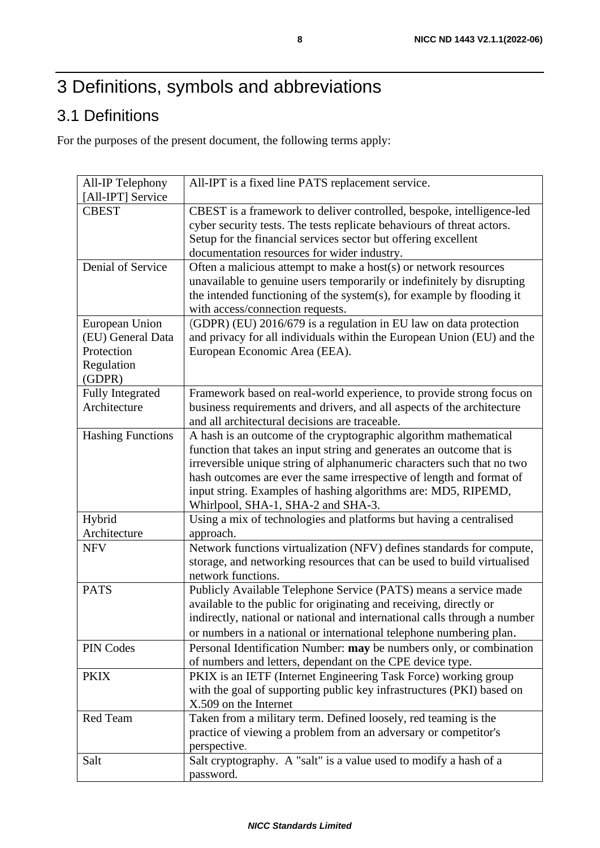# 3 Definitions, symbols and abbreviations

# 3.1 Definitions

For the purposes of the present document, the following terms apply:

| All-IP Telephony                                                          | All-IPT is a fixed line PATS replacement service.                                                                                                                                                                                                                                                                                                                                                  |
|---------------------------------------------------------------------------|----------------------------------------------------------------------------------------------------------------------------------------------------------------------------------------------------------------------------------------------------------------------------------------------------------------------------------------------------------------------------------------------------|
| [All-IPT] Service                                                         |                                                                                                                                                                                                                                                                                                                                                                                                    |
| <b>CBEST</b>                                                              | CBEST is a framework to deliver controlled, bespoke, intelligence-led<br>cyber security tests. The tests replicate behaviours of threat actors.<br>Setup for the financial services sector but offering excellent<br>documentation resources for wider industry.                                                                                                                                   |
| Denial of Service                                                         | Often a malicious attempt to make a host(s) or network resources<br>unavailable to genuine users temporarily or indefinitely by disrupting<br>the intended functioning of the system(s), for example by flooding it<br>with access/connection requests.                                                                                                                                            |
| European Union<br>(EU) General Data<br>Protection<br>Regulation<br>(GDPR) | (GDPR) (EU) 2016/679 is a regulation in EU law on data protection<br>and privacy for all individuals within the European Union (EU) and the<br>European Economic Area (EEA).                                                                                                                                                                                                                       |
| <b>Fully Integrated</b><br>Architecture                                   | Framework based on real-world experience, to provide strong focus on<br>business requirements and drivers, and all aspects of the architecture<br>and all architectural decisions are traceable.                                                                                                                                                                                                   |
| <b>Hashing Functions</b>                                                  | A hash is an outcome of the cryptographic algorithm mathematical<br>function that takes an input string and generates an outcome that is<br>irreversible unique string of alphanumeric characters such that no two<br>hash outcomes are ever the same irrespective of length and format of<br>input string. Examples of hashing algorithms are: MD5, RIPEMD,<br>Whirlpool, SHA-1, SHA-2 and SHA-3. |
| Hybrid                                                                    | Using a mix of technologies and platforms but having a centralised                                                                                                                                                                                                                                                                                                                                 |
| Architecture                                                              | approach.                                                                                                                                                                                                                                                                                                                                                                                          |
| <b>NFV</b>                                                                | Network functions virtualization (NFV) defines standards for compute,<br>storage, and networking resources that can be used to build virtualised<br>network functions.                                                                                                                                                                                                                             |
| <b>PATS</b>                                                               | Publicly Available Telephone Service (PATS) means a service made<br>available to the public for originating and receiving, directly or<br>indirectly, national or national and international calls through a number<br>or numbers in a national or international telephone numbering plan.                                                                                                         |
| PIN Codes                                                                 | Personal Identification Number: may be numbers only, or combination<br>of numbers and letters, dependant on the CPE device type.                                                                                                                                                                                                                                                                   |
| <b>PKIX</b>                                                               | PKIX is an IETF (Internet Engineering Task Force) working group<br>with the goal of supporting public key infrastructures (PKI) based on<br>X.509 on the Internet                                                                                                                                                                                                                                  |
| Red Team                                                                  | Taken from a military term. Defined loosely, red teaming is the<br>practice of viewing a problem from an adversary or competitor's<br>perspective.                                                                                                                                                                                                                                                 |
| Salt                                                                      | Salt cryptography. A "salt" is a value used to modify a hash of a<br>password.                                                                                                                                                                                                                                                                                                                     |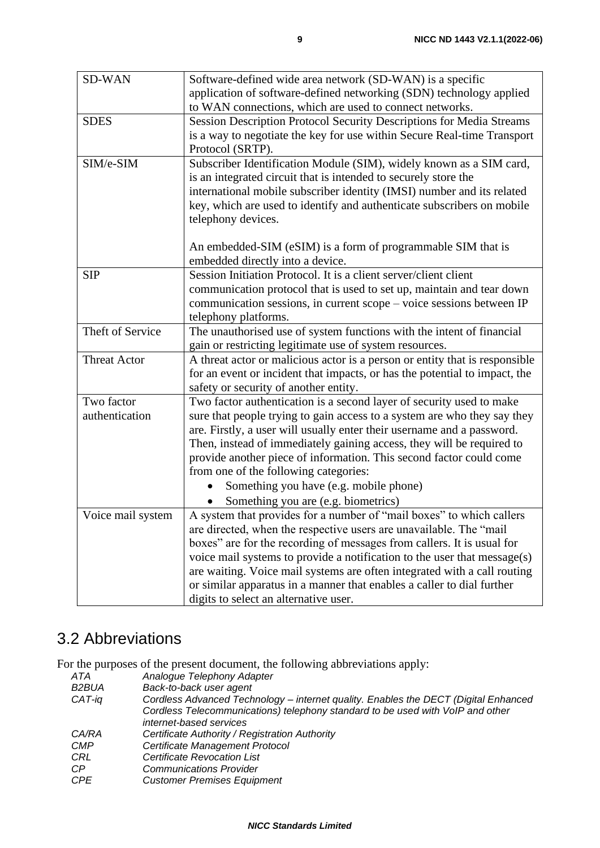| <b>SD-WAN</b>       | Software-defined wide area network (SD-WAN) is a specific                   |
|---------------------|-----------------------------------------------------------------------------|
|                     | application of software-defined networking (SDN) technology applied         |
|                     | to WAN connections, which are used to connect networks.                     |
| <b>SDES</b>         | Session Description Protocol Security Descriptions for Media Streams        |
|                     | is a way to negotiate the key for use within Secure Real-time Transport     |
|                     | Protocol (SRTP).                                                            |
| SIM/e-SIM           | Subscriber Identification Module (SIM), widely known as a SIM card,         |
|                     | is an integrated circuit that is intended to securely store the             |
|                     | international mobile subscriber identity (IMSI) number and its related      |
|                     | key, which are used to identify and authenticate subscribers on mobile      |
|                     | telephony devices.                                                          |
|                     |                                                                             |
|                     | An embedded-SIM (eSIM) is a form of programmable SIM that is                |
|                     | embedded directly into a device.                                            |
| <b>SIP</b>          | Session Initiation Protocol. It is a client server/client client            |
|                     | communication protocol that is used to set up, maintain and tear down       |
|                     | communication sessions, in current scope - voice sessions between IP        |
|                     | telephony platforms.                                                        |
| Theft of Service    | The unauthorised use of system functions with the intent of financial       |
|                     | gain or restricting legitimate use of system resources.                     |
| <b>Threat Actor</b> | A threat actor or malicious actor is a person or entity that is responsible |
|                     | for an event or incident that impacts, or has the potential to impact, the  |
|                     | safety or security of another entity.                                       |
| Two factor          | Two factor authentication is a second layer of security used to make        |
| authentication      | sure that people trying to gain access to a system are who they say they    |
|                     | are. Firstly, a user will usually enter their username and a password.      |
|                     | Then, instead of immediately gaining access, they will be required to       |
|                     | provide another piece of information. This second factor could come         |
|                     | from one of the following categories:                                       |
|                     | Something you have (e.g. mobile phone)                                      |
|                     | Something you are (e.g. biometrics)                                         |
| Voice mail system   | A system that provides for a number of "mail boxes" to which callers        |
|                     | are directed, when the respective users are unavailable. The "mail          |
|                     | boxes" are for the recording of messages from callers. It is usual for      |
|                     | voice mail systems to provide a notification to the user that message(s)    |
|                     | are waiting. Voice mail systems are often integrated with a call routing    |
|                     | or similar apparatus in a manner that enables a caller to dial further      |
|                     | digits to select an alternative user.                                       |

# 3.2 Abbreviations

For the purposes of the present document, the following abbreviations apply:

| ATA          | Analogue Telephony Adapter                                                          |  |
|--------------|-------------------------------------------------------------------------------------|--|
| B2BUA        | Back-to-back user agent                                                             |  |
| CAT-iq       | Cordless Advanced Technology - internet quality. Enables the DECT (Digital Enhanced |  |
|              | Cordless Telecommunications) telephony standard to be used with VoIP and other      |  |
|              | internet-based services                                                             |  |
| <i>CA/RA</i> | Certificate Authority / Registration Authority                                      |  |
| <b>CMP</b>   | Certificate Management Protocol                                                     |  |
| CRL          | Certificate Revocation List                                                         |  |
| CP           | <b>Communications Provider</b>                                                      |  |
| <b>CPE</b>   | <b>Customer Premises Equipment</b>                                                  |  |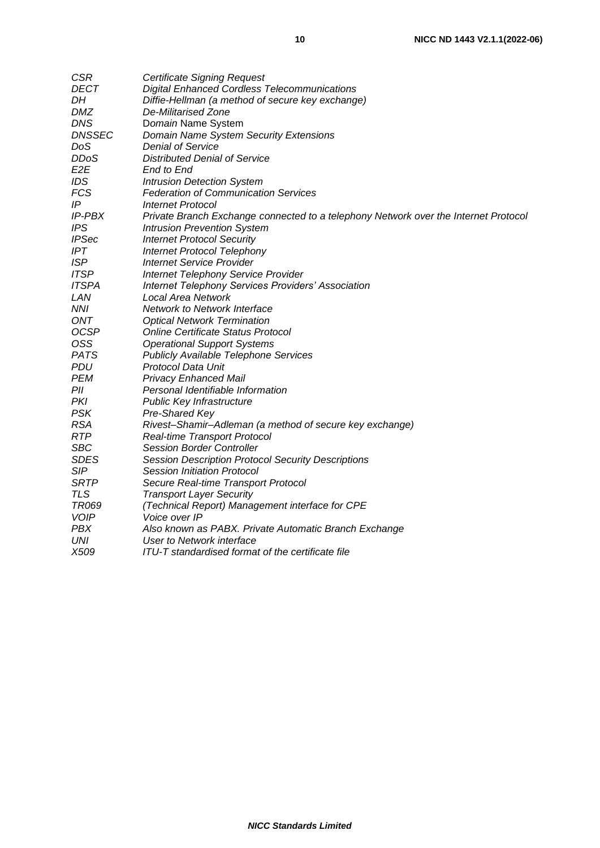| <b>CSR</b>           | <b>Certificate Signing Request</b>                                                  |  |  |
|----------------------|-------------------------------------------------------------------------------------|--|--|
| DECT                 | <b>Digital Enhanced Cordless Telecommunications</b>                                 |  |  |
| DH                   | Diffie-Hellman (a method of secure key exchange)                                    |  |  |
| DMZ                  | De-Militarised Zone                                                                 |  |  |
| <b>DNS</b>           | Domain Name System                                                                  |  |  |
| <b>DNSSEC</b>        | Domain Name System Security Extensions                                              |  |  |
| DoS                  | Denial of Service                                                                   |  |  |
| <b>DDoS</b>          | <b>Distributed Denial of Service</b>                                                |  |  |
| E2E                  | End to End                                                                          |  |  |
| IDS                  | <b>Intrusion Detection System</b>                                                   |  |  |
| <b>FCS</b>           | <b>Federation of Communication Services</b>                                         |  |  |
| ΙP                   | <b>Internet Protocol</b>                                                            |  |  |
| <i><b>IP-PBX</b></i> | Private Branch Exchange connected to a telephony Network over the Internet Protoco. |  |  |
| <b>IPS</b>           | <b>Intrusion Prevention System</b>                                                  |  |  |
| <b>IPSec</b>         | <b>Internet Protocol Security</b>                                                   |  |  |
| <b>IPT</b>           | <b>Internet Protocol Telephony</b>                                                  |  |  |
| <b>ISP</b>           | <b>Internet Service Provider</b>                                                    |  |  |
| <b>ITSP</b>          | Internet Telephony Service Provider                                                 |  |  |
| <b>ITSPA</b>         | <b>Internet Telephony Services Providers' Association</b>                           |  |  |
| LAN                  | <b>Local Area Network</b>                                                           |  |  |
| <b>NNI</b>           | Network to Network Interface                                                        |  |  |
| ONT                  | <b>Optical Network Termination</b>                                                  |  |  |
| <b>OCSP</b>          | <b>Online Certificate Status Protocol</b>                                           |  |  |
| OSS                  | <b>Operational Support Systems</b>                                                  |  |  |
| <b>PATS</b>          | <b>Publicly Available Telephone Services</b>                                        |  |  |
| PDU                  | Protocol Data Unit                                                                  |  |  |
| <b>PEM</b>           | <b>Privacy Enhanced Mail</b>                                                        |  |  |
| PII                  | Personal Identifiable Information                                                   |  |  |
| PKI                  | Public Key Infrastructure                                                           |  |  |
| <b>PSK</b>           | Pre-Shared Key                                                                      |  |  |
| <b>RSA</b>           | Rivest-Shamir-Adleman (a method of secure key exchange)                             |  |  |
| <b>RTP</b>           | <b>Real-time Transport Protocol</b>                                                 |  |  |
| <b>SBC</b>           | <b>Session Border Controller</b>                                                    |  |  |
| <b>SDES</b>          | Session Description Protocol Security Descriptions                                  |  |  |
| SIP                  | Session Initiation Protocol                                                         |  |  |
| <b>SRTP</b>          | Secure Real-time Transport Protocol                                                 |  |  |
| <b>TLS</b>           | <b>Transport Layer Security</b>                                                     |  |  |
| <b>TR069</b>         | (Technical Report) Management interface for CPE                                     |  |  |
| <b>VOIP</b>          | Voice over IP                                                                       |  |  |
| <b>PBX</b>           | Also known as PABX. Private Automatic Branch Exchange                               |  |  |
| UNI                  | User to Network interface                                                           |  |  |
| X509                 | ITU-T standardised format of the certificate file                                   |  |  |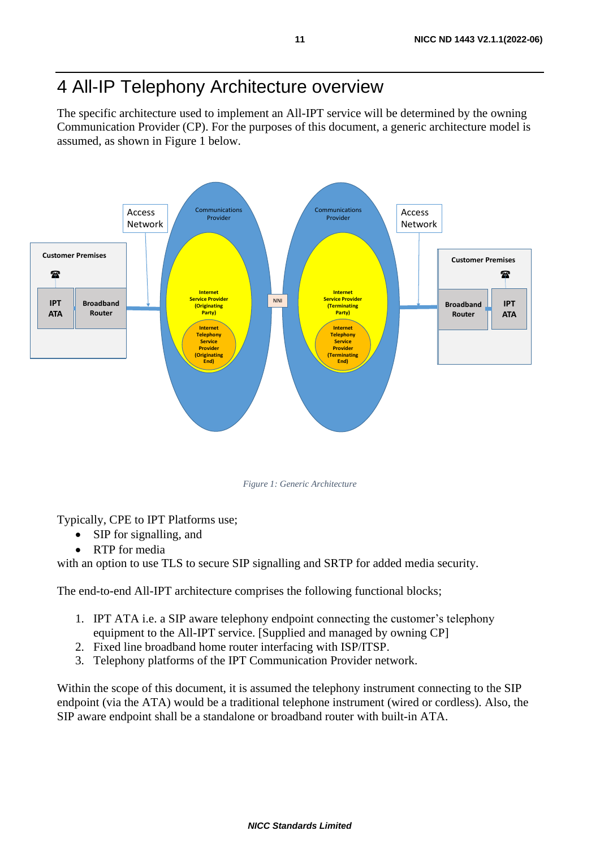# 4 All-IP Telephony Architecture overview

The specific architecture used to implement an All-IPT service will be determined by the owning Communication Provider (CP). For the purposes of this document, a generic architecture model is assumed, as shown in Figure 1 below.



*Figure 1: Generic Architecture*

Typically, CPE to IPT Platforms use;

- SIP for signalling, and
- RTP for media

with an option to use TLS to secure SIP signalling and SRTP for added media security.

The end-to-end All-IPT architecture comprises the following functional blocks;

- 1. IPT ATA i.e. a SIP aware telephony endpoint connecting the customer's telephony equipment to the All-IPT service. [Supplied and managed by owning CP]
- 2. Fixed line broadband home router interfacing with ISP/ITSP.
- 3. Telephony platforms of the IPT Communication Provider network.

Within the scope of this document, it is assumed the telephony instrument connecting to the SIP endpoint (via the ATA) would be a traditional telephone instrument (wired or cordless). Also, the SIP aware endpoint shall be a standalone or broadband router with built-in ATA.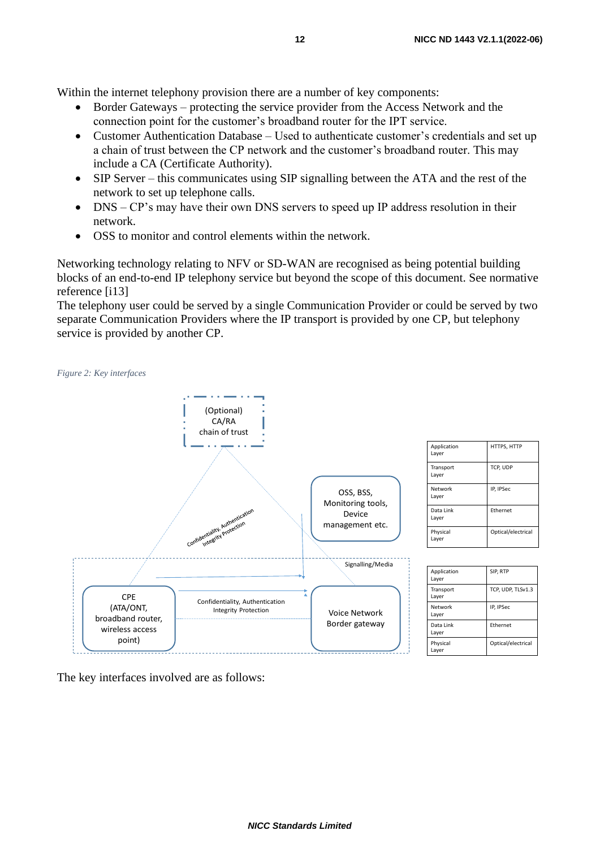Within the internet telephony provision there are a number of key components:

- Border Gateways protecting the service provider from the Access Network and the connection point for the customer's broadband router for the IPT service.
- Customer Authentication Database Used to authenticate customer's credentials and set up a chain of trust between the CP network and the customer's broadband router. This may include a CA (Certificate Authority).
- SIP Server this communicates using SIP signalling between the ATA and the rest of the network to set up telephone calls.
- DNS CP's may have their own DNS servers to speed up IP address resolution in their network.
- OSS to monitor and control elements within the network.

Networking technology relating to NFV or SD-WAN are recognised as being potential building blocks of an end-to-end IP telephony service but beyond the scope of this document. See normative reference [i13]

The telephony user could be served by a single Communication Provider or could be served by two separate Communication Providers where the IP transport is provided by one CP, but telephony service is provided by another CP.

*Figure 2: Key interfaces*



The key interfaces involved are as follows: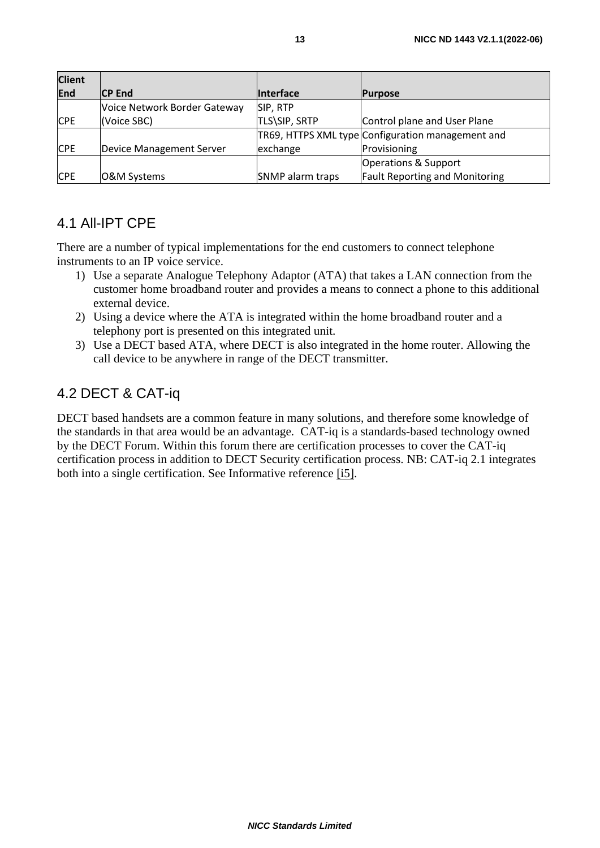| <b>Client</b> |                              |                         |                                                   |
|---------------|------------------------------|-------------------------|---------------------------------------------------|
| <b>End</b>    | <b>CP End</b>                | <b>Interface</b>        | <b>Purpose</b>                                    |
|               | Voice Network Border Gateway | SIP, RTP                |                                                   |
| <b>CPE</b>    | (Voice SBC)                  | TLS\SIP, SRTP           | Control plane and User Plane                      |
|               |                              |                         | TR69, HTTPS XML type Configuration management and |
| <b>CPE</b>    | Device Management Server     | exchange                | Provisioning                                      |
|               |                              |                         | Operations & Support                              |
| <b>CPE</b>    | O&M Systems                  | <b>SNMP</b> alarm traps | <b>Fault Reporting and Monitoring</b>             |

#### 4.1 All-IPT CPE

There are a number of typical implementations for the end customers to connect telephone instruments to an IP voice service.

- 1) Use a separate Analogue Telephony Adaptor (ATA) that takes a LAN connection from the customer home broadband router and provides a means to connect a phone to this additional external device.
- 2) Using a device where the ATA is integrated within the home broadband router and a telephony port is presented on this integrated unit.
- 3) Use a DECT based ATA, where DECT is also integrated in the home router. Allowing the call device to be anywhere in range of the DECT transmitter.

#### 4.2 DECT & CAT-iq

DECT based handsets are a common feature in many solutions, and therefore some knowledge of the standards in that area would be an advantage. CAT-iq is a standards-based technology owned by the DECT Forum. Within this forum there are certification processes to cover the CAT-iq certification process in addition to DECT Security certification process. NB: CAT-iq 2.1 integrates both into a single certification. See Informative reference [\[i5\].](#page-5-1)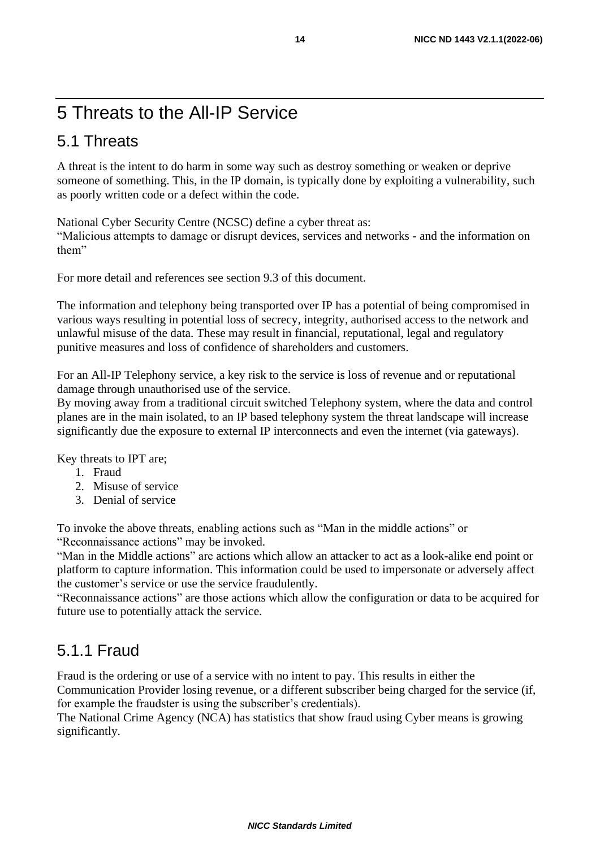# 5 Threats to the All-IP Service

### 5.1 Threats

A threat is the intent to do harm in some way such as destroy something or weaken or deprive someone of something. This, in the IP domain, is typically done by exploiting a vulnerability, such as poorly written code or a defect within the code.

National Cyber Security Centre (NCSC) define a cyber threat as:

"Malicious attempts to damage or disrupt devices, services and networks - and the information on them"

For more detail and references see section 9.3 of this document.

The information and telephony being transported over IP has a potential of being compromised in various ways resulting in potential loss of secrecy, integrity, authorised access to the network and unlawful misuse of the data. These may result in financial, reputational, legal and regulatory punitive measures and loss of confidence of shareholders and customers.

For an All-IP Telephony service, a key risk to the service is loss of revenue and or reputational damage through unauthorised use of the service.

By moving away from a traditional circuit switched Telephony system, where the data and control planes are in the main isolated, to an IP based telephony system the threat landscape will increase significantly due the exposure to external IP interconnects and even the internet (via gateways).

Key threats to IPT are;

- 1. Fraud
- 2. Misuse of service
- 3. Denial of service

To invoke the above threats, enabling actions such as "Man in the middle actions" or "Reconnaissance actions" may be invoked.

"Man in the Middle actions" are actions which allow an attacker to act as a look-alike end point or platform to capture information. This information could be used to impersonate or adversely affect the customer's service or use the service fraudulently.

"Reconnaissance actions" are those actions which allow the configuration or data to be acquired for future use to potentially attack the service.

#### 5.1.1 Fraud

Fraud is the ordering or use of a service with no intent to pay. This results in either the Communication Provider losing revenue, or a different subscriber being charged for the service (if, for example the fraudster is using the subscriber's credentials).

The National Crime Agency (NCA) has statistics that show fraud using Cyber means is growing significantly.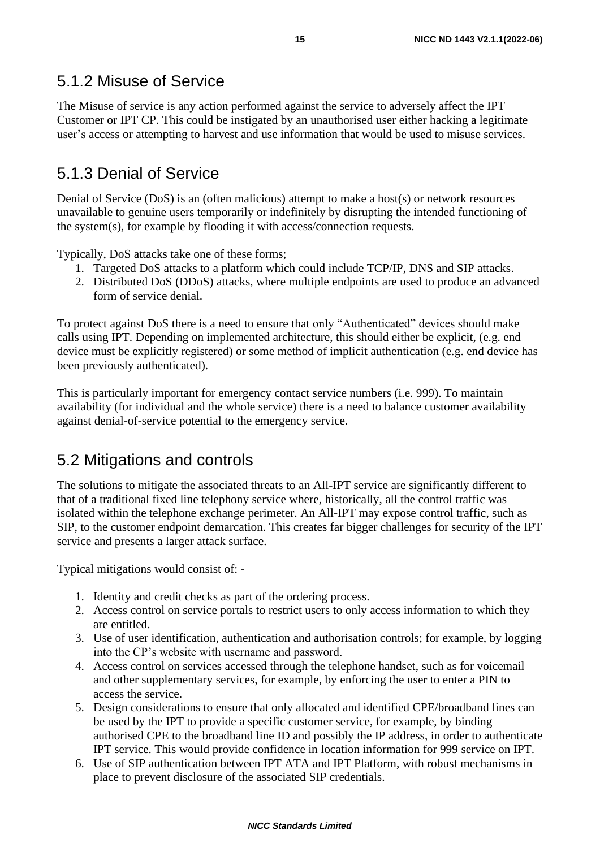#### 5.1.2 Misuse of Service

The Misuse of service is any action performed against the service to adversely affect the IPT Customer or IPT CP. This could be instigated by an unauthorised user either hacking a legitimate user's access or attempting to harvest and use information that would be used to misuse services.

### 5.1.3 Denial of Service

Denial of Service (DoS) is an (often malicious) attempt to make a host(s) or network resources unavailable to genuine users temporarily or indefinitely by disrupting the intended functioning of the system(s), for example by flooding it with access/connection requests.

Typically, DoS attacks take one of these forms;

- 1. Targeted DoS attacks to a platform which could include TCP/IP, DNS and SIP attacks.
- 2. Distributed DoS (DDoS) attacks, where multiple endpoints are used to produce an advanced form of service denial.

To protect against DoS there is a need to ensure that only "Authenticated" devices should make calls using IPT. Depending on implemented architecture, this should either be explicit, (e.g. end device must be explicitly registered) or some method of implicit authentication (e.g. end device has been previously authenticated).

This is particularly important for emergency contact service numbers (i.e. 999). To maintain availability (for individual and the whole service) there is a need to balance customer availability against denial-of-service potential to the emergency service.

### 5.2 Mitigations and controls

The solutions to mitigate the associated threats to an All-IPT service are significantly different to that of a traditional fixed line telephony service where, historically, all the control traffic was isolated within the telephone exchange perimeter. An All-IPT may expose control traffic, such as SIP, to the customer endpoint demarcation. This creates far bigger challenges for security of the IPT service and presents a larger attack surface.

Typical mitigations would consist of: -

- 1. Identity and credit checks as part of the ordering process.
- 2. Access control on service portals to restrict users to only access information to which they are entitled.
- 3. Use of user identification, authentication and authorisation controls; for example, by logging into the CP's website with username and password.
- 4. Access control on services accessed through the telephone handset, such as for voicemail and other supplementary services, for example, by enforcing the user to enter a PIN to access the service.
- 5. Design considerations to ensure that only allocated and identified CPE/broadband lines can be used by the IPT to provide a specific customer service, for example, by binding authorised CPE to the broadband line ID and possibly the IP address, in order to authenticate IPT service. This would provide confidence in location information for 999 service on IPT.
- 6. Use of SIP authentication between IPT ATA and IPT Platform, with robust mechanisms in place to prevent disclosure of the associated SIP credentials.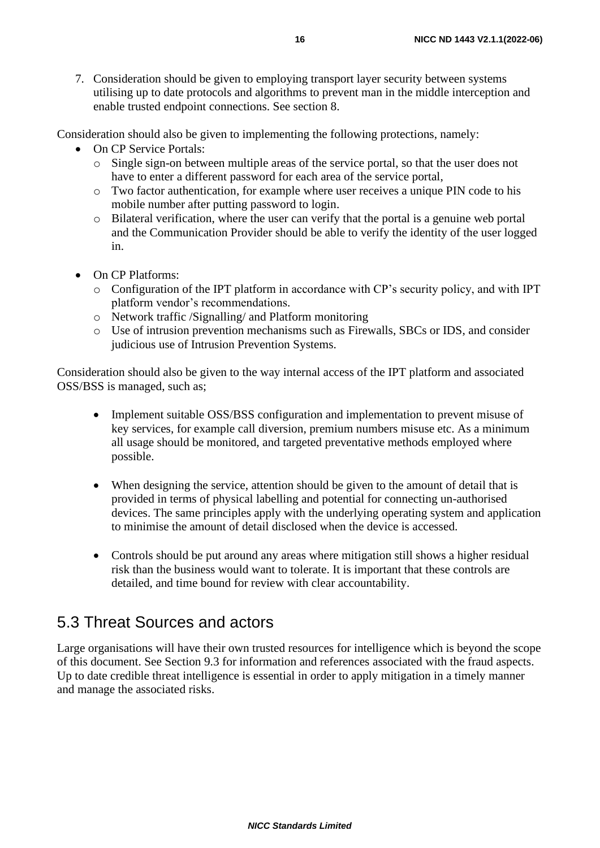7. Consideration should be given to employing transport layer security between systems utilising up to date protocols and algorithms to prevent man in the middle interception and enable trusted endpoint connections. See section 8.

Consideration should also be given to implementing the following protections, namely:

- On CP Service Portals:
	- o Single sign-on between multiple areas of the service portal, so that the user does not have to enter a different password for each area of the service portal,
	- o Two factor authentication, for example where user receives a unique PIN code to his mobile number after putting password to login.
	- o Bilateral verification, where the user can verify that the portal is a genuine web portal and the Communication Provider should be able to verify the identity of the user logged in.
- On CP Platforms:
	- o Configuration of the IPT platform in accordance with CP's security policy, and with IPT platform vendor's recommendations.
	- o Network traffic /Signalling/ and Platform monitoring
	- o Use of intrusion prevention mechanisms such as Firewalls, SBCs or IDS, and consider judicious use of Intrusion Prevention Systems.

Consideration should also be given to the way internal access of the IPT platform and associated OSS/BSS is managed, such as;

- Implement suitable OSS/BSS configuration and implementation to prevent misuse of key services, for example call diversion, premium numbers misuse etc. As a minimum all usage should be monitored, and targeted preventative methods employed where possible.
- When designing the service, attention should be given to the amount of detail that is provided in terms of physical labelling and potential for connecting un-authorised devices. The same principles apply with the underlying operating system and application to minimise the amount of detail disclosed when the device is accessed.
- Controls should be put around any areas where mitigation still shows a higher residual risk than the business would want to tolerate. It is important that these controls are detailed, and time bound for review with clear accountability.

#### 5.3 Threat Sources and actors

Large organisations will have their own trusted resources for intelligence which is beyond the scope of this document. See Section 9.3 for information and references associated with the fraud aspects. Up to date credible threat intelligence is essential in order to apply mitigation in a timely manner and manage the associated risks.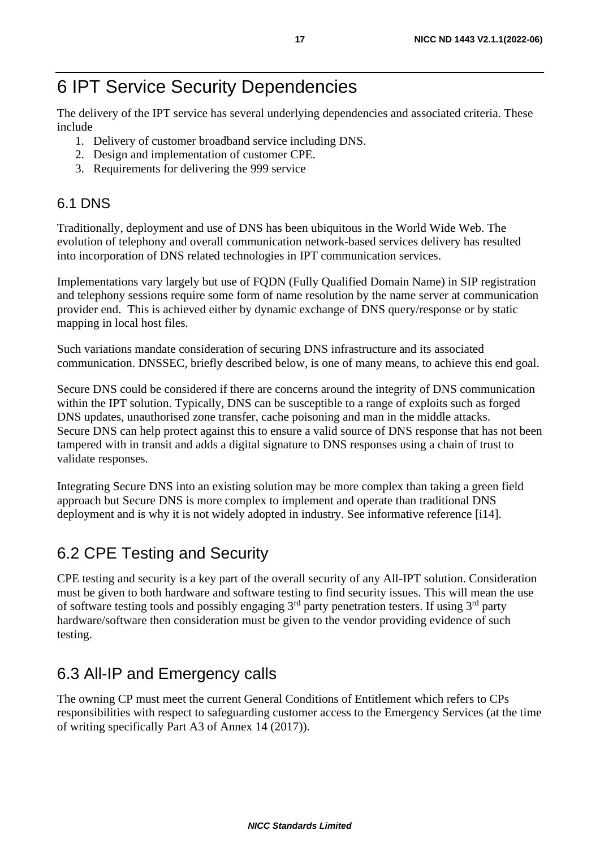# 6 IPT Service Security Dependencies

The delivery of the IPT service has several underlying dependencies and associated criteria. These include

- 1. Delivery of customer broadband service including DNS.
- 2. Design and implementation of customer CPE.
- 3. Requirements for delivering the 999 service

#### 6.1 DNS

Traditionally, deployment and use of DNS has been ubiquitous in the World Wide Web. The evolution of telephony and overall communication network-based services delivery has resulted into incorporation of DNS related technologies in IPT communication services.

Implementations vary largely but use of FQDN (Fully Qualified Domain Name) in SIP registration and telephony sessions require some form of name resolution by the name server at communication provider end. This is achieved either by dynamic exchange of DNS query/response or by static mapping in local host files.

Such variations mandate consideration of securing DNS infrastructure and its associated communication. DNSSEC, briefly described below, is one of many means, to achieve this end goal.

Secure DNS could be considered if there are concerns around the integrity of DNS communication within the IPT solution. Typically, DNS can be susceptible to a range of exploits such as forged DNS updates, unauthorised zone transfer, cache poisoning and man in the middle attacks. Secure DNS can help protect against this to ensure a valid source of DNS response that has not been tampered with in transit and adds a digital signature to DNS responses using a chain of trust to validate responses.

Integrating Secure DNS into an existing solution may be more complex than taking a green field approach but Secure DNS is more complex to implement and operate than traditional DNS deployment and is why it is not widely adopted in industry. See informative reference [i14].

# 6.2 CPE Testing and Security

CPE testing and security is a key part of the overall security of any All-IPT solution. Consideration must be given to both hardware and software testing to find security issues. This will mean the use of software testing tools and possibly engaging  $3<sup>rd</sup>$  party penetration testers. If using  $3<sup>rd</sup>$  party hardware/software then consideration must be given to the vendor providing evidence of such testing.

# 6.3 All-IP and Emergency calls

The owning CP must meet the current General Conditions of Entitlement which refers to CPs responsibilities with respect to safeguarding customer access to the Emergency Services (at the time of writing specifically Part A3 of Annex 14 (2017)).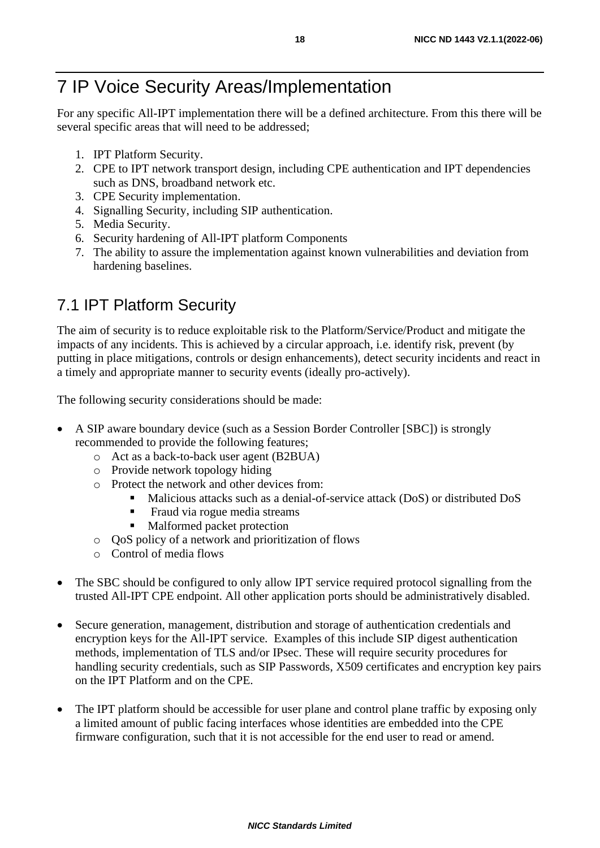# 7 IP Voice Security Areas/Implementation

For any specific All-IPT implementation there will be a defined architecture. From this there will be several specific areas that will need to be addressed;

- 1. IPT Platform Security.
- 2. CPE to IPT network transport design, including CPE authentication and IPT dependencies such as DNS, broadband network etc.
- 3. CPE Security implementation.
- 4. Signalling Security, including SIP authentication.
- 5. Media Security.
- 6. Security hardening of All-IPT platform Components
- 7. The ability to assure the implementation against known vulnerabilities and deviation from hardening baselines.

# 7.1 IPT Platform Security

The aim of security is to reduce exploitable risk to the Platform/Service/Product and mitigate the impacts of any incidents. This is achieved by a circular approach, i.e. identify risk, prevent (by putting in place mitigations, controls or design enhancements), detect security incidents and react in a timely and appropriate manner to security events (ideally pro-actively).

The following security considerations should be made:

- A SIP aware boundary device (such as a Session Border Controller [SBC]) is strongly recommended to provide the following features;
	- o Act as a back-to-back user agent (B2BUA)
	- o Provide network topology hiding
	- o Protect the network and other devices from:
		- Malicious attacks such as a denial-of-service attack (DoS) or distributed DoS
		- Fraud via rogue media streams
		- Malformed packet protection
	- o QoS policy of a network and prioritization of flows
	- o Control of media flows
- The SBC should be configured to only allow IPT service required protocol signalling from the trusted All-IPT CPE endpoint. All other application ports should be administratively disabled.
- Secure generation, management, distribution and storage of authentication credentials and encryption keys for the All-IPT service. Examples of this include SIP digest authentication methods, implementation of TLS and/or IPsec. These will require security procedures for handling security credentials, such as SIP Passwords, X509 certificates and encryption key pairs on the IPT Platform and on the CPE.
- The IPT platform should be accessible for user plane and control plane traffic by exposing only a limited amount of public facing interfaces whose identities are embedded into the CPE firmware configuration, such that it is not accessible for the end user to read or amend.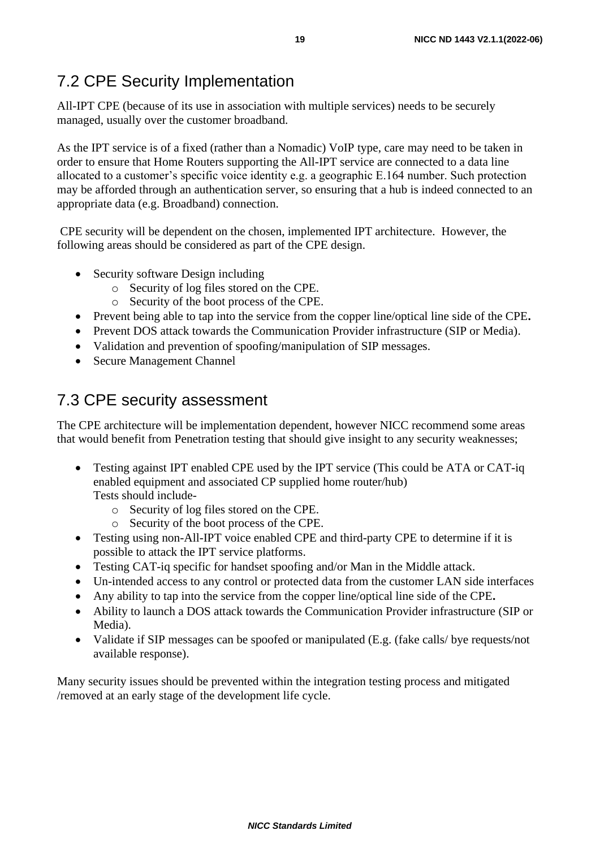# 7.2 CPE Security Implementation

All-IPT CPE (because of its use in association with multiple services) needs to be securely managed, usually over the customer broadband.

As the IPT service is of a fixed (rather than a Nomadic) VoIP type, care may need to be taken in order to ensure that Home Routers supporting the All-IPT service are connected to a data line allocated to a customer's specific voice identity e.g. a geographic E.164 number. Such protection may be afforded through an authentication server, so ensuring that a hub is indeed connected to an appropriate data (e.g. Broadband) connection.

CPE security will be dependent on the chosen, implemented IPT architecture. However, the following areas should be considered as part of the CPE design.

- Security software Design including
	- o Security of log files stored on the CPE.
	- o Security of the boot process of the CPE.
- Prevent being able to tap into the service from the copper line/optical line side of the CPE**.**
- Prevent DOS attack towards the Communication Provider infrastructure (SIP or Media).
- Validation and prevention of spoofing/manipulation of SIP messages.
- Secure Management Channel

#### 7.3 CPE security assessment

The CPE architecture will be implementation dependent, however NICC recommend some areas that would benefit from Penetration testing that should give insight to any security weaknesses;

- Testing against IPT enabled CPE used by the IPT service (This could be ATA or CAT-iq enabled equipment and associated CP supplied home router/hub) Tests should include
	- o Security of log files stored on the CPE.
	- o Security of the boot process of the CPE.
- Testing using non-All-IPT voice enabled CPE and third-party CPE to determine if it is possible to attack the IPT service platforms.
- Testing CAT-iq specific for handset spoofing and/or Man in the Middle attack.
- Un-intended access to any control or protected data from the customer LAN side interfaces
- Any ability to tap into the service from the copper line/optical line side of the CPE**.**
- Ability to launch a DOS attack towards the Communication Provider infrastructure (SIP or Media).
- Validate if SIP messages can be spoofed or manipulated (E.g. (fake calls/ bye requests/not available response).

Many security issues should be prevented within the integration testing process and mitigated /removed at an early stage of the development life cycle.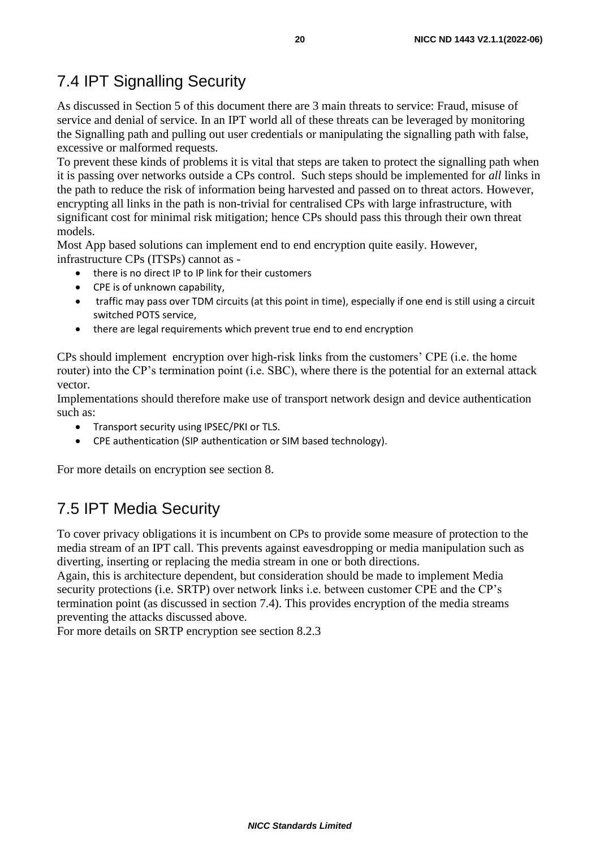### 7.4 IPT Signalling Security

As discussed in Section 5 of this document there are 3 main threats to service: Fraud, misuse of service and denial of service. In an IPT world all of these threats can be leveraged by monitoring the Signalling path and pulling out user credentials or manipulating the signalling path with false, excessive or malformed requests.

To prevent these kinds of problems it is vital that steps are taken to protect the signalling path when it is passing over networks outside a CPs control. Such steps should be implemented for *all* links in the path to reduce the risk of information being harvested and passed on to threat actors. However, encrypting all links in the path is non-trivial for centralised CPs with large infrastructure, with significant cost for minimal risk mitigation; hence CPs should pass this through their own threat models.

Most App based solutions can implement end to end encryption quite easily. However, infrastructure CPs (ITSPs) cannot as -

- there is no direct IP to IP link for their customers
- CPE is of unknown capability,
- traffic may pass over TDM circuits (at this point in time), especially if one end is still using a circuit switched POTS service,
- there are legal requirements which prevent true end to end encryption

CPs should implement encryption over high-risk links from the customers' CPE (i.e. the home router) into the CP's termination point (i.e. SBC), where there is the potential for an external attack vector.

Implementations should therefore make use of transport network design and device authentication such as:

- Transport security using IPSEC/PKI or TLS.
- CPE authentication (SIP authentication or SIM based technology).

For more details on encryption see section 8.

### 7.5 IPT Media Security

To cover privacy obligations it is incumbent on CPs to provide some measure of protection to the media stream of an IPT call. This prevents against eavesdropping or media manipulation such as diverting, inserting or replacing the media stream in one or both directions.

Again, this is architecture dependent, but consideration should be made to implement Media security protections (i.e. SRTP) over network links i.e. between customer CPE and the CP's termination point (as discussed in section 7.4). This provides encryption of the media streams preventing the attacks discussed above.

For more details on SRTP encryption see section 8.2.3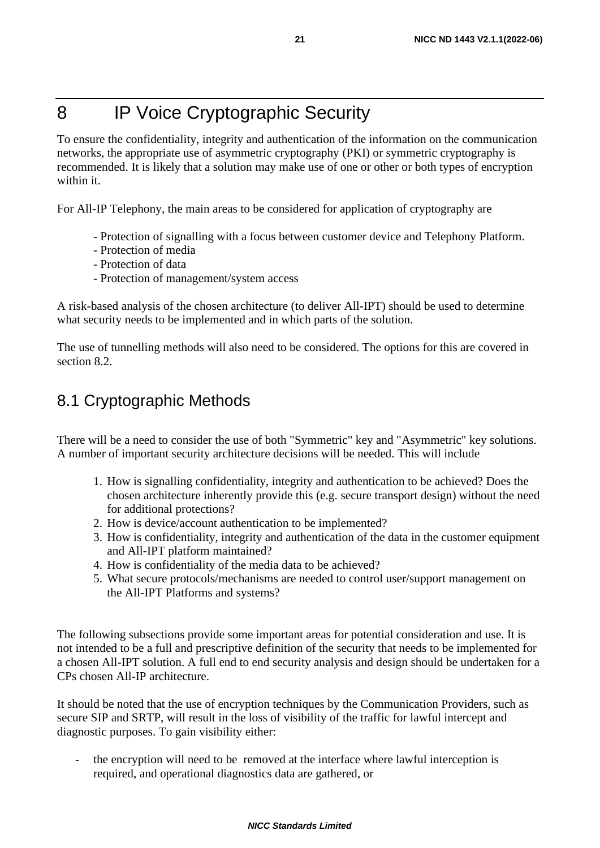# 8 IP Voice Cryptographic Security

To ensure the confidentiality, integrity and authentication of the information on the communication networks, the appropriate use of asymmetric cryptography (PKI) or symmetric cryptography is recommended. It is likely that a solution may make use of one or other or both types of encryption within it.

For All-IP Telephony, the main areas to be considered for application of cryptography are

- Protection of signalling with a focus between customer device and Telephony Platform.
- Protection of media
- Protection of data
- Protection of management/system access

A risk-based analysis of the chosen architecture (to deliver All-IPT) should be used to determine what security needs to be implemented and in which parts of the solution.

The use of tunnelling methods will also need to be considered. The options for this are covered in section 8.2.

## 8.1 Cryptographic Methods

There will be a need to consider the use of both "Symmetric" key and "Asymmetric" key solutions. A number of important security architecture decisions will be needed. This will include

- 1. How is signalling confidentiality, integrity and authentication to be achieved? Does the chosen architecture inherently provide this (e.g. secure transport design) without the need for additional protections?
- 2. How is device/account authentication to be implemented?
- 3. How is confidentiality, integrity and authentication of the data in the customer equipment and All-IPT platform maintained?
- 4. How is confidentiality of the media data to be achieved?
- 5. What secure protocols/mechanisms are needed to control user/support management on the All-IPT Platforms and systems?

The following subsections provide some important areas for potential consideration and use. It is not intended to be a full and prescriptive definition of the security that needs to be implemented for a chosen All-IPT solution. A full end to end security analysis and design should be undertaken for a CPs chosen All-IP architecture.

It should be noted that the use of encryption techniques by the Communication Providers, such as secure SIP and SRTP, will result in the loss of visibility of the traffic for lawful intercept and diagnostic purposes. To gain visibility either:

the encryption will need to be removed at the interface where lawful interception is required, and operational diagnostics data are gathered, or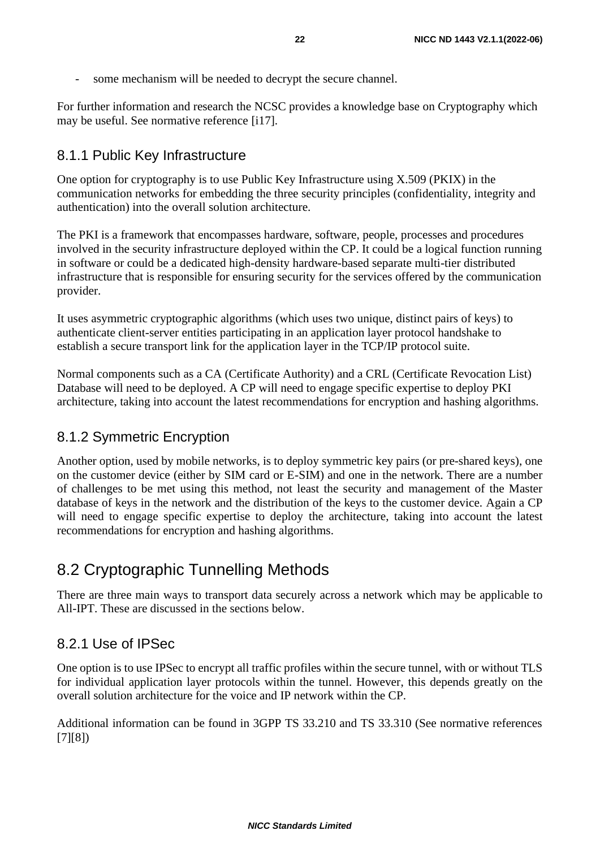some mechanism will be needed to decrypt the secure channel.

For further information and research the NCSC provides a knowledge base on Cryptography which may be useful. See normative reference [i17].

#### 8.1.1 Public Key Infrastructure

One option for cryptography is to use Public Key Infrastructure using X.509 (PKIX) in the communication networks for embedding the three security principles (confidentiality, integrity and authentication) into the overall solution architecture.

The PKI is a framework that encompasses hardware, software, people, processes and procedures involved in the security infrastructure deployed within the CP. It could be a logical function running in software or could be a dedicated high-density hardware-based separate multi-tier distributed infrastructure that is responsible for ensuring security for the services offered by the communication provider.

It uses asymmetric cryptographic algorithms (which uses two unique, distinct pairs of keys) to authenticate client-server entities participating in an application layer protocol handshake to establish a secure transport link for the application layer in the TCP/IP protocol suite.

Normal components such as a CA (Certificate Authority) and a CRL (Certificate Revocation List) Database will need to be deployed. A CP will need to engage specific expertise to deploy PKI architecture, taking into account the latest recommendations for encryption and hashing algorithms.

#### 8.1.2 Symmetric Encryption

Another option, used by mobile networks, is to deploy symmetric key pairs (or pre-shared keys), one on the customer device (either by SIM card or E-SIM) and one in the network. There are a number of challenges to be met using this method, not least the security and management of the Master database of keys in the network and the distribution of the keys to the customer device. Again a CP will need to engage specific expertise to deploy the architecture, taking into account the latest recommendations for encryption and hashing algorithms.

### 8.2 Cryptographic Tunnelling Methods

There are three main ways to transport data securely across a network which may be applicable to All-IPT. These are discussed in the sections below.

#### 8.2.1 Use of IPSec

One option is to use IPSec to encrypt all traffic profiles within the secure tunnel, with or without TLS for individual application layer protocols within the tunnel. However, this depends greatly on the overall solution architecture for the voice and IP network within the CP.

Additional information can be found in 3GPP TS 33.210 and TS 33.310 (See normative references [7][8])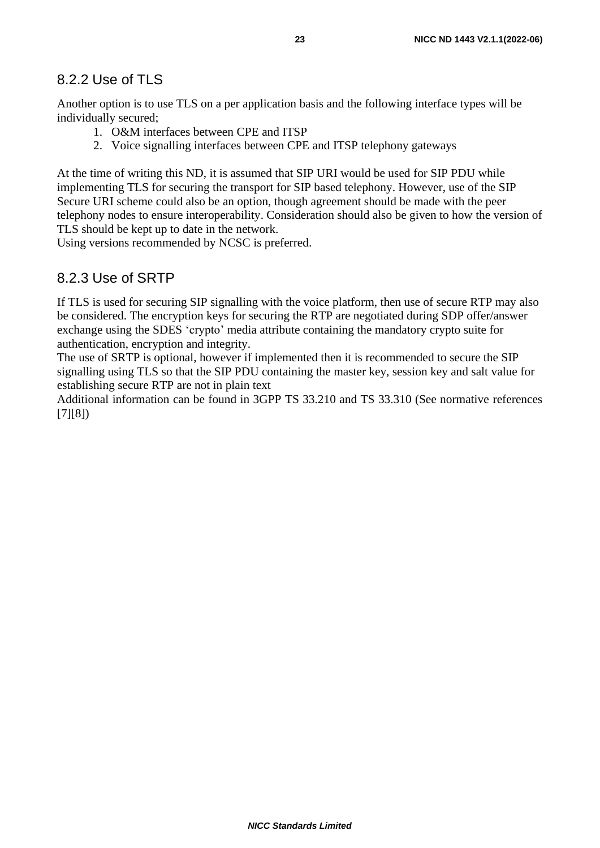#### 8.2.2 Use of TLS

Another option is to use TLS on a per application basis and the following interface types will be individually secured;

- 1. O&M interfaces between CPE and ITSP
- 2. Voice signalling interfaces between CPE and ITSP telephony gateways

At the time of writing this ND, it is assumed that SIP URI would be used for SIP PDU while implementing TLS for securing the transport for SIP based telephony. However, use of the SIP Secure URI scheme could also be an option, though agreement should be made with the peer telephony nodes to ensure interoperability. Consideration should also be given to how the version of TLS should be kept up to date in the network.

Using versions recommended by NCSC is preferred.

#### 8.2.3 Use of SRTP

If TLS is used for securing SIP signalling with the voice platform, then use of secure RTP may also be considered. The encryption keys for securing the RTP are negotiated during SDP offer/answer exchange using the SDES 'crypto' media attribute containing the mandatory crypto suite for authentication, encryption and integrity.

The use of SRTP is optional, however if implemented then it is recommended to secure the SIP signalling using TLS so that the SIP PDU containing the master key, session key and salt value for establishing secure RTP are not in plain text

Additional information can be found in 3GPP TS 33.210 and TS 33.310 (See normative references [7][8])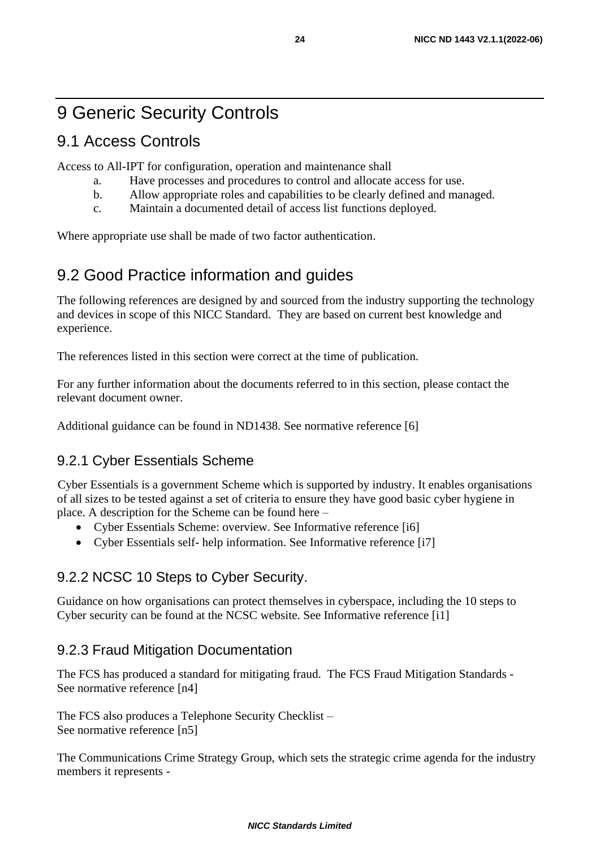# 9 Generic Security Controls

### 9.1 Access Controls

Access to All-IPT for configuration, operation and maintenance shall

- a. Have processes and procedures to control and allocate access for use.
- b. Allow appropriate roles and capabilities to be clearly defined and managed.
- c. Maintain a documented detail of access list functions deployed.

Where appropriate use shall be made of two factor authentication.

#### 9.2 Good Practice information and guides

The following references are designed by and sourced from the industry supporting the technology and devices in scope of this NICC Standard. They are based on current best knowledge and experience.

The references listed in this section were correct at the time of publication.

For any further information about the documents referred to in this section, please contact the relevant document owner.

Additional guidance can be found in ND1438. See normative reference [6]

#### 9.2.1 Cyber Essentials Scheme

Cyber Essentials is a government Scheme which is supported by industry. It enables organisations of all sizes to be tested against a set of criteria to ensure they have good basic cyber hygiene in place. A description for the Scheme can be found here –

- Cyber Essentials Scheme: overview. See Informative reference [i6]
- Cyber Essentials self- help information. See Informative reference [i7]

#### 9.2.2 NCSC 10 Steps to Cyber Security.

Guidance on how organisations can protect themselves in cyberspace, including the 10 steps to Cyber security can be found at the NCSC website. See Informative reference [i1]

#### 9.2.3 Fraud Mitigation Documentation

The FCS has produced a standard for mitigating fraud. The FCS Fraud Mitigation Standards - See normative reference [n4]

The FCS also produces a Telephone Security Checklist – See normative reference [n5]

The Communications Crime Strategy Group, which sets the strategic crime agenda for the industry members it represents -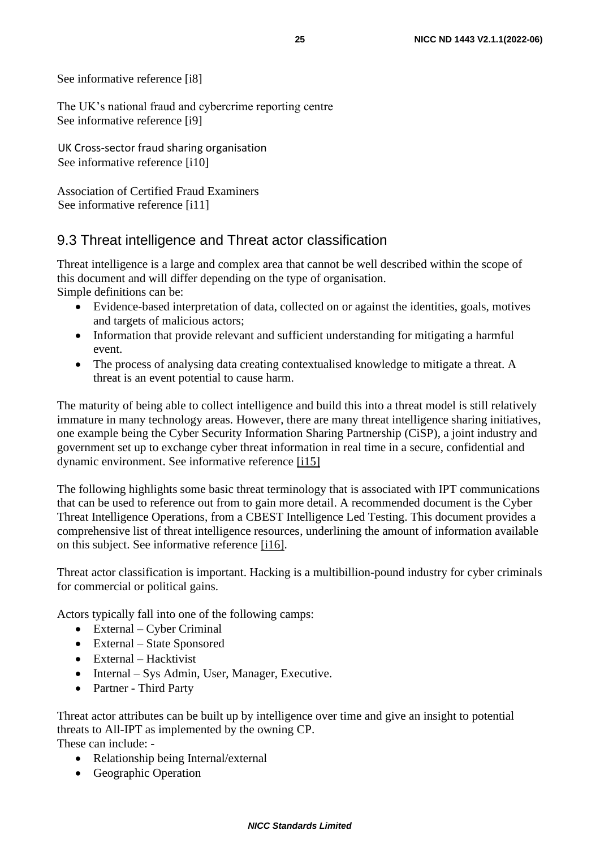See informative reference [i8]

The UK's national fraud and cybercrime reporting centre See informative reference [\[i9\]](#page-5-1)

UK Cross-sector fraud sharing organisation See informative reference [\[i10\]](#page-5-0)

Association of Certified Fraud Examiners See informative reference [i11]

#### 9.3 Threat intelligence and Threat actor classification

Threat intelligence is a large and complex area that cannot be well described within the scope of this document and will differ depending on the type of organisation. Simple definitions can be:

- Evidence-based interpretation of data, collected on or against the identities, goals, motives and targets of malicious actors;
- Information that provide relevant and sufficient understanding for mitigating a harmful event.
- The process of analysing data creating contextualised knowledge to mitigate a threat. A threat is an event potential to cause harm.

The maturity of being able to collect intelligence and build this into a threat model is still relatively immature in many technology areas. However, there are many threat intelligence sharing initiatives, one example being the Cyber Security Information Sharing Partnership (CiSP), a joint industry and government set up to exchange cyber threat information in real time in a secure, confidential and dynamic environment. See informative reference [\[i15\]](#page-5-0)

The following highlights some basic threat terminology that is associated with IPT communications that can be used to reference out from to gain more detail. A recommended document is the Cyber Threat Intelligence Operations, from a CBEST Intelligence Led Testing. This document provides a comprehensive list of threat intelligence resources, underlining the amount of information available on this subject. See informative reference [\[i16\].](#page-5-0)

Threat actor classification is important. Hacking is a multibillion-pound industry for cyber criminals for commercial or political gains.

Actors typically fall into one of the following camps:

- External Cyber Criminal
- External State Sponsored
- External Hacktivist
- Internal Sys Admin, User, Manager, Executive.
- Partner Third Party

Threat actor attributes can be built up by intelligence over time and give an insight to potential threats to All-IPT as implemented by the owning CP. These can include: -

- Relationship being Internal/external
- Geographic Operation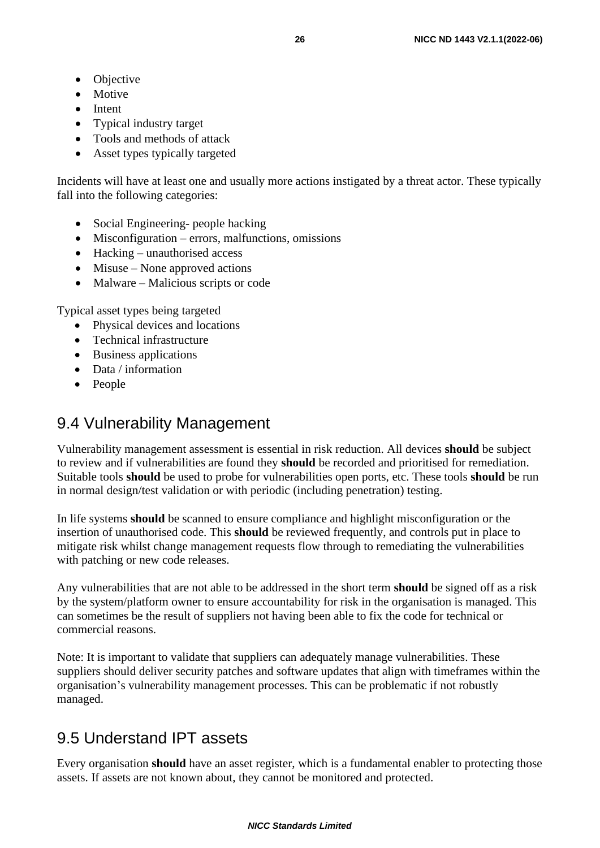- Objective
- Motive
- Intent
- Typical industry target
- Tools and methods of attack
- Asset types typically targeted

Incidents will have at least one and usually more actions instigated by a threat actor. These typically fall into the following categories:

- Social Engineering- people hacking
- Misconfiguration errors, malfunctions, omissions
- Hacking unauthorised access
- Misuse None approved actions
- Malware Malicious scripts or code

Typical asset types being targeted

- Physical devices and locations
- Technical infrastructure
- Business applications
- Data / information
- People

#### 9.4 Vulnerability Management

Vulnerability management assessment is essential in risk reduction. All devices **should** be subject to review and if vulnerabilities are found they **should** be recorded and prioritised for remediation. Suitable tools **should** be used to probe for vulnerabilities open ports, etc. These tools **should** be run in normal design/test validation or with periodic (including penetration) testing.

In life systems **should** be scanned to ensure compliance and highlight misconfiguration or the insertion of unauthorised code. This **should** be reviewed frequently, and controls put in place to mitigate risk whilst change management requests flow through to remediating the vulnerabilities with patching or new code releases.

Any vulnerabilities that are not able to be addressed in the short term **should** be signed off as a risk by the system/platform owner to ensure accountability for risk in the organisation is managed. This can sometimes be the result of suppliers not having been able to fix the code for technical or commercial reasons.

Note: It is important to validate that suppliers can adequately manage vulnerabilities. These suppliers should deliver security patches and software updates that align with timeframes within the organisation's vulnerability management processes. This can be problematic if not robustly managed.

### 9.5 Understand IPT assets

Every organisation **should** have an asset register, which is a fundamental enabler to protecting those assets. If assets are not known about, they cannot be monitored and protected.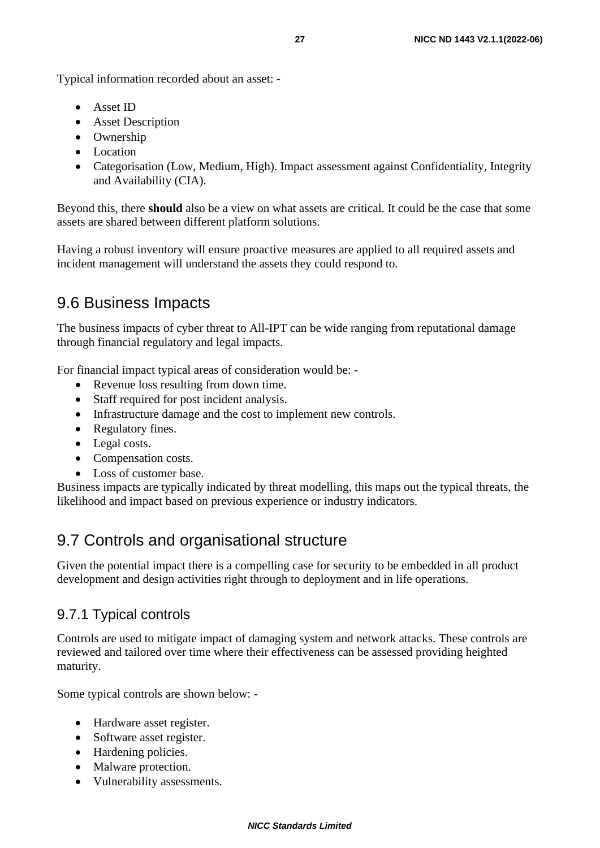Typical information recorded about an asset: -

- Asset ID
- Asset Description
- Ownership
- Location
- Categorisation (Low, Medium, High). Impact assessment against Confidentiality, Integrity and Availability (CIA).

Beyond this, there **should** also be a view on what assets are critical. It could be the case that some assets are shared between different platform solutions.

Having a robust inventory will ensure proactive measures are applied to all required assets and incident management will understand the assets they could respond to.

### 9.6 Business Impacts

The business impacts of cyber threat to All-IPT can be wide ranging from reputational damage through financial regulatory and legal impacts.

For financial impact typical areas of consideration would be: -

- Revenue loss resulting from down time.
- Staff required for post incident analysis.
- Infrastructure damage and the cost to implement new controls.
- Regulatory fines.
- Legal costs.
- Compensation costs.
- Loss of customer base.

Business impacts are typically indicated by threat modelling, this maps out the typical threats, the likelihood and impact based on previous experience or industry indicators.

### 9.7 Controls and organisational structure

Given the potential impact there is a compelling case for security to be embedded in all product development and design activities right through to deployment and in life operations.

#### 9.7.1 Typical controls

Controls are used to mitigate impact of damaging system and network attacks. These controls are reviewed and tailored over time where their effectiveness can be assessed providing heighted maturity.

Some typical controls are shown below: -

- Hardware asset register.
- Software asset register.
- Hardening policies.
- Malware protection.
- Vulnerability assessments.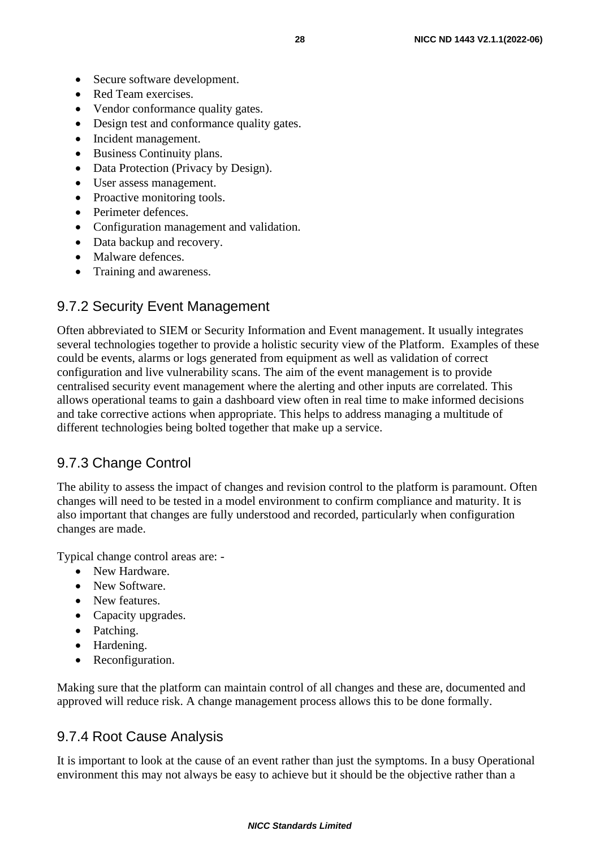- Secure software development.
- Red Team exercises.
- Vendor conformance quality gates.
- Design test and conformance quality gates.
- Incident management.
- Business Continuity plans.
- Data Protection (Privacy by Design).
- User assess management.
- Proactive monitoring tools.
- Perimeter defences.
- Configuration management and validation.
- Data backup and recovery.
- Malware defences.
- Training and awareness.

#### 9.7.2 Security Event Management

Often abbreviated to SIEM or Security Information and Event management. It usually integrates several technologies together to provide a holistic security view of the Platform. Examples of these could be events, alarms or logs generated from equipment as well as validation of correct configuration and live vulnerability scans. The aim of the event management is to provide centralised security event management where the alerting and other inputs are correlated. This allows operational teams to gain a dashboard view often in real time to make informed decisions and take corrective actions when appropriate. This helps to address managing a multitude of different technologies being bolted together that make up a service.

#### 9.7.3 Change Control

The ability to assess the impact of changes and revision control to the platform is paramount. Often changes will need to be tested in a model environment to confirm compliance and maturity. It is also important that changes are fully understood and recorded, particularly when configuration changes are made.

Typical change control areas are: -

- New Hardware.
- New Software.
- New features.
- Capacity upgrades.
- Patching.
- Hardening.
- Reconfiguration.

Making sure that the platform can maintain control of all changes and these are, documented and approved will reduce risk. A change management process allows this to be done formally.

#### 9.7.4 Root Cause Analysis

It is important to look at the cause of an event rather than just the symptoms. In a busy Operational environment this may not always be easy to achieve but it should be the objective rather than a

#### *NICC Standards Limited*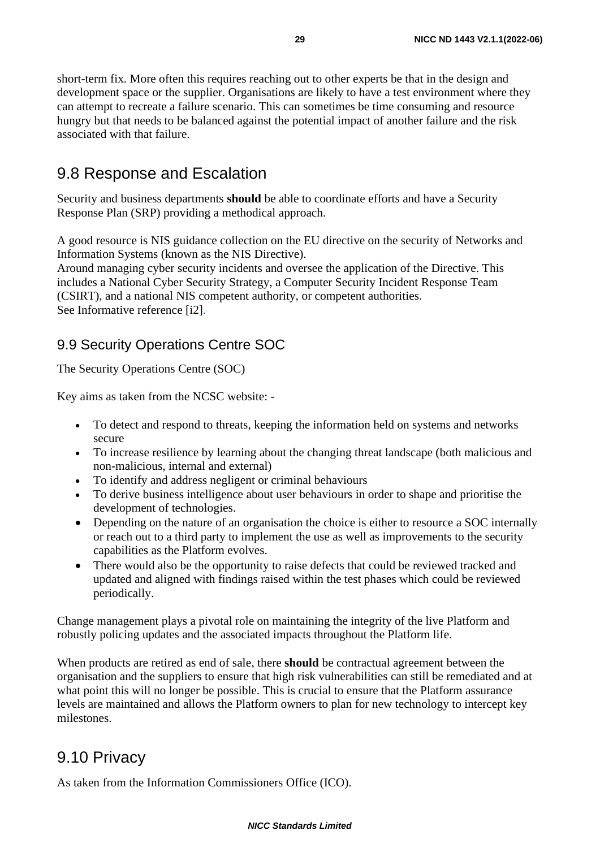short-term fix. More often this requires reaching out to other experts be that in the design and development space or the supplier. Organisations are likely to have a test environment where they can attempt to recreate a failure scenario. This can sometimes be time consuming and resource hungry but that needs to be balanced against the potential impact of another failure and the risk associated with that failure.

#### 9.8 Response and Escalation

Security and business departments **should** be able to coordinate efforts and have a Security Response Plan (SRP) providing a methodical approach.

A good resource is NIS guidance collection on the EU directive on the security of Networks and Information Systems (known as the NIS Directive).

Around managing cyber security incidents and oversee the application of the Directive. This includes a National Cyber Security Strategy, a Computer Security Incident Response Team (CSIRT), and a national NIS competent authority, or competent authorities. See Informative reference [i2].

#### 9.9 Security Operations Centre SOC

The Security Operations Centre (SOC)

Key aims as taken from the NCSC website: -

- To detect and respond to threats, keeping the information held on systems and networks secure
- To increase resilience by learning about the changing threat landscape (both malicious and non-malicious, internal and external)
- To identify and address negligent or criminal behaviours
- To derive business intelligence about user behaviours in order to shape and prioritise the development of technologies.
- Depending on the nature of an organisation the choice is either to resource a SOC internally or reach out to a third party to implement the use as well as improvements to the security capabilities as the Platform evolves.
- There would also be the opportunity to raise defects that could be reviewed tracked and updated and aligned with findings raised within the test phases which could be reviewed periodically.

Change management plays a pivotal role on maintaining the integrity of the live Platform and robustly policing updates and the associated impacts throughout the Platform life.

When products are retired as end of sale, there **should** be contractual agreement between the organisation and the suppliers to ensure that high risk vulnerabilities can still be remediated and at what point this will no longer be possible. This is crucial to ensure that the Platform assurance levels are maintained and allows the Platform owners to plan for new technology to intercept key milestones.

#### 9.10 Privacy

As taken from the Information Commissioners Office (ICO).

#### *NICC Standards Limited*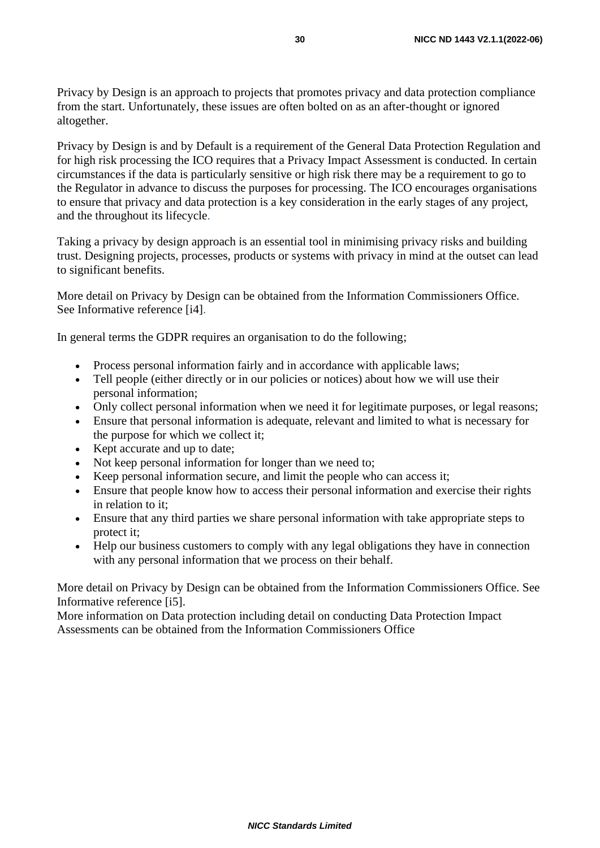Privacy by Design is an approach to projects that promotes privacy and data protection compliance from the start. Unfortunately, these issues are often bolted on as an after-thought or ignored altogether.

Privacy by Design is and by Default is a requirement of the General Data Protection Regulation and for high risk processing the ICO requires that a Privacy Impact Assessment is conducted. In certain circumstances if the data is particularly sensitive or high risk there may be a requirement to go to the Regulator in advance to discuss the purposes for processing. The ICO encourages organisations to ensure that privacy and data protection is a key consideration in the early stages of any project, and the throughout its lifecycle.

Taking a privacy by design approach is an essential tool in minimising privacy risks and building trust. Designing projects, processes, products or systems with privacy in mind at the outset can lead to significant benefits.

More detail on Privacy by Design can be obtained from the Information Commissioners Office. See Informative reference [i4].

In general terms the GDPR requires an organisation to do the following;

- Process personal information fairly and in accordance with applicable laws;
- Tell people (either directly or in our policies or notices) about how we will use their personal information;
- Only collect personal information when we need it for legitimate purposes, or legal reasons;
- Ensure that personal information is adequate, relevant and limited to what is necessary for the purpose for which we collect it;
- Kept accurate and up to date;
- Not keep personal information for longer than we need to;
- Keep personal information secure, and limit the people who can access it;
- Ensure that people know how to access their personal information and exercise their rights in relation to it;
- Ensure that any third parties we share personal information with take appropriate steps to protect it;
- Help our business customers to comply with any legal obligations they have in connection with any personal information that we process on their behalf.

More detail on Privacy by Design can be obtained from the Information Commissioners Office. See Informative reference [i5].

More information on Data protection including detail on conducting Data Protection Impact Assessments can be obtained from the Information Commissioners Office